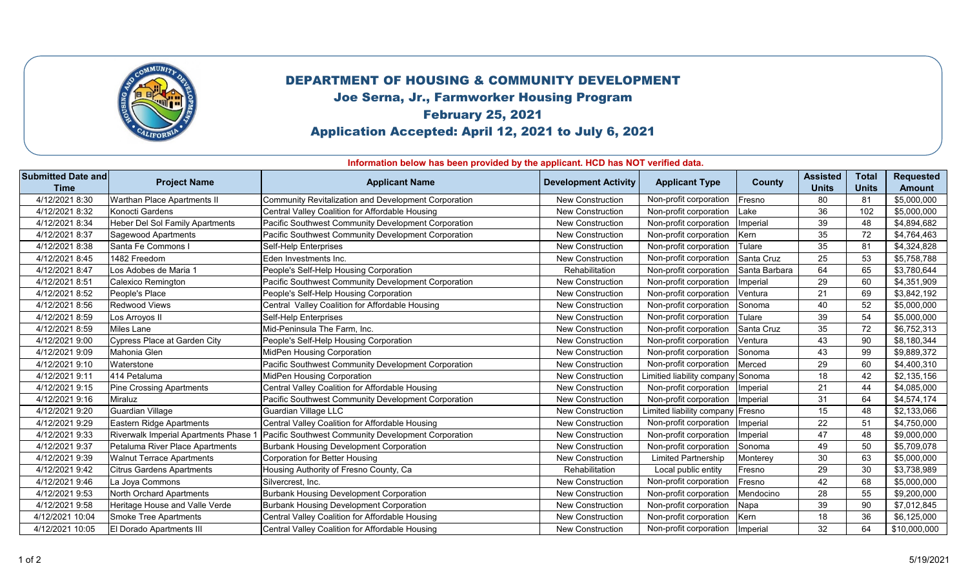

## DEPARTMENT OF HOUSING & COMMUNITY DEVELOPMENT

Joe Serna, Jr., Farmworker Housing Program

## February 25, 2021

Application Accepted: April 12, 2021 to July 6, 2021

**Information below has been provided by the applicant. HCD has NOT verified data.** 

| <b>Submitted Date and</b><br><b>Time</b> | <b>Project Name</b>                    | <b>Applicant Name</b>                                | <b>Development Activity</b> | <b>Applicant Type</b>             | County            | <b>Assisted</b><br><b>Units</b> | <b>Total</b><br><b>Units</b> | <b>Requested</b><br><b>Amount</b> |
|------------------------------------------|----------------------------------------|------------------------------------------------------|-----------------------------|-----------------------------------|-------------------|---------------------------------|------------------------------|-----------------------------------|
| 4/12/2021 8:30                           | Warthan Place Apartments II            | Community Revitalization and Development Corporation | <b>New Construction</b>     | Non-profit corporation            | Fresno            | 80                              | 81                           | \$5,000,000                       |
| 4/12/2021 8:32                           | Konocti Gardens                        | Central Valley Coalition for Affordable Housing      | New Construction            | Non-profit corporation            | Lake              | 36                              | 102                          | \$5,000,000                       |
| 4/12/2021 8:34                           | <b>Heber Del Sol Family Apartments</b> | Pacific Southwest Community Development Corporation  | <b>New Construction</b>     | Non-profit corporation            | Imperial          | 39                              | 48                           | \$4,894,682                       |
| 4/12/2021 8:37                           | <b>Sagewood Apartments</b>             | Pacific Southwest Community Development Corporation  | New Construction            | Non-profit corporation            | Kern              | 35                              | 72                           | \$4,764,463                       |
| 4/12/2021 8:38                           | Santa Fe Commons I                     | Self-Help Enterprises                                | <b>New Construction</b>     | Non-profit corporation            | Tulare            | 35                              | 81                           | \$4,324,828                       |
| 4/12/2021 8:45                           | 1482 Freedom                           | Eden Investments Inc.                                | <b>New Construction</b>     | Non-profit corporation            | <b>Santa Cruz</b> | 25                              | 53                           | \$5,758,788                       |
| 4/12/2021 8:47                           | Los Adobes de Maria 1                  | People's Self-Help Housing Corporation               | Rehabilitation              | Non-profit corporation            | Santa Barbara     | 64                              | 65                           | \$3,780,644                       |
| 4/12/2021 8:51                           | Calexico Remington                     | Pacific Southwest Community Development Corporation  | New Construction            | Non-profit corporation            | Imperial          | 29                              | 60                           | \$4,351,909                       |
| 4/12/2021 8:52                           | People's Place                         | People's Self-Help Housing Corporation               | <b>New Construction</b>     | Non-profit corporation            | Ventura           | 21                              | 69                           | \$3,842,192                       |
| 4/12/2021 8:56                           | Redwood Views                          | Central Valley Coalition for Affordable Housing      | <b>New Construction</b>     | Non-profit corporation            | Sonoma            | 40                              | 52                           | \$5,000,000                       |
| 4/12/2021 8:59                           | Los Arroyos II                         | Self-Help Enterprises                                | <b>New Construction</b>     | Non-profit corporation            | Tulare            | 39                              | 54                           | \$5,000,000                       |
| 4/12/2021 8:59                           | Miles Lane                             | Mid-Peninsula The Farm, Inc.                         | New Construction            | Non-profit corporation            | Santa Cruz        | 35                              | 72                           | \$6,752,313                       |
| 4/12/2021 9:00                           | Cypress Place at Garden City           | People's Self-Help Housing Corporation               | <b>New Construction</b>     | Non-profit corporation            | Ventura           | 43                              | 90                           | \$8,180,344                       |
| 4/12/2021 9:09                           | <b>Mahonia Glen</b>                    | MidPen Housing Corporation                           | <b>New Construction</b>     | Non-profit corporation            | Sonoma            | 43                              | 99                           | \$9,889,372                       |
| 4/12/2021 9:10                           | Waterstone                             | Pacific Southwest Community Development Corporation  | <b>New Construction</b>     | Non-profit corporation            | Merced            | 29                              | 60                           | \$4,400,310                       |
| 4/12/2021 9:11                           | 414 Petaluma                           | MidPen Housing Corporation                           | New Construction            | Limitied liability company Sonoma |                   | 18                              | 42                           | \$2,135,156                       |
| 4/12/2021 9:15                           | Pine Crossing Apartments               | Central Valley Coalition for Affordable Housing      | <b>New Construction</b>     | Non-profit corporation            | Imperial          | 21                              | 44                           | \$4,085,000                       |
| 4/12/2021 9:16                           | Miraluz                                | Pacific Southwest Community Development Corporation  | New Construction            | Non-profit corporation            | Imperial          | 31                              | 64                           | \$4,574,174                       |
| 4/12/2021 9:20                           | <b>Guardian Village</b>                | Guardian Village LLC                                 | <b>New Construction</b>     | Limited liability company         | Fresno            | 15                              | 48                           | \$2,133,066                       |
| 4/12/2021 9:29                           | Eastern Ridge Apartments               | Central Valley Coalition for Affordable Housing      | <b>New Construction</b>     | Non-profit corporation            | Imperial          | 22                              | 51                           | \$4,750,000                       |
| 4/12/2021 9:33                           | Riverwalk Imperial Apartments Phase 1  | Pacific Southwest Community Development Corporation  | <b>New Construction</b>     | Non-profit corporation            | Imperial          | 47                              | 48                           | \$9,000,000                       |
| 4/12/2021 9:37                           | Petaluma River Place Apartments        | <b>Burbank Housing Development Corporation</b>       | <b>New Construction</b>     | Non-profit corporation            | Sonoma            | 49                              | 50                           | \$5,709,078                       |
| 4/12/2021 9:39                           | <b>Walnut Terrace Apartments</b>       | <b>Corporation for Better Housing</b>                | <b>New Construction</b>     | <b>Limited Partnership</b>        | Monterey          | 30                              | 63                           | \$5,000,000                       |
| 4/12/2021 9:42                           | <b>Citrus Gardens Apartments</b>       | Housing Authority of Fresno County, Ca               | Rehabilitation              | Local public entity               | Fresno            | 29                              | 30                           | \$3,738,989                       |
| 4/12/2021 9:46                           | La Joya Commons                        | Silvercrest, Inc.                                    | <b>New Construction</b>     | Non-profit corporation            | Fresno            | 42                              | 68                           | \$5,000,000                       |
| 4/12/2021 9:53                           | North Orchard Apartments               | <b>Burbank Housing Development Corporation</b>       | New Construction            | Non-profit corporation            | Mendocino         | 28                              | 55                           | \$9,200,000                       |
| 4/12/2021 9:58                           | Heritage House and Valle Verde         | <b>Burbank Housing Development Corporation</b>       | New Construction            | Non-profit corporation            | Napa              | 39                              | 90                           | \$7,012,845                       |
| 4/12/2021 10:04                          | Smoke Tree Apartments                  | Central Valley Coalition for Affordable Housing      | <b>New Construction</b>     | Non-profit corporation            | Kern              | 18                              | 36                           | \$6,125,000                       |
| 4/12/2021 10:05                          | El Dorado Apartments III               | Central Valley Coalition for Affordable Housing      | <b>New Construction</b>     | Non-profit corporation            | Imperial          | 32                              | 64                           | \$10,000,000                      |